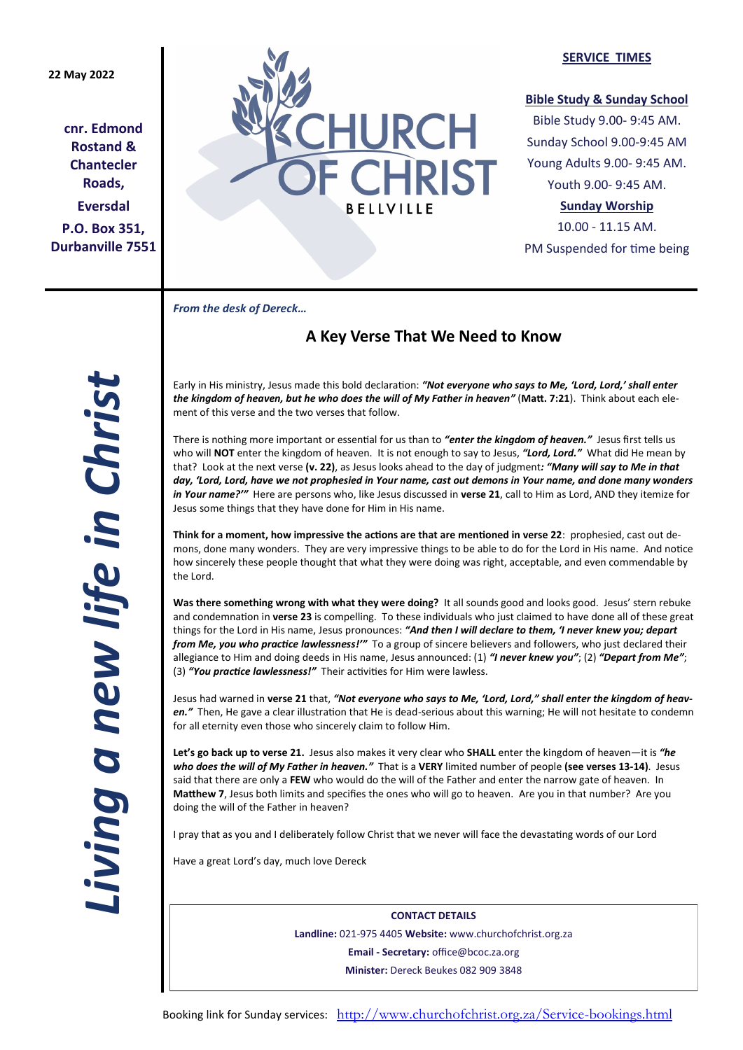## **22 May 2022**

**cnr. Edmond Rostand & Chantecler Roads, Eversdal P.O. Box 351, Durbanville 7551**



#### **SERVICE TIMES**

## **Bible Study & Sunday School**

Bible Study 9.00- 9:45 AM. Sunday School 9.00-9:45 AM Young Adults 9.00- 9:45 AM. Youth 9.00- 9:45 AM.

## **Sunday Worship**

10.00 - 11.15 AM. PM Suspended for time being

*From the desk of Dereck…* 

# **A Key Verse That We Need to Know**

Early in His ministry, Jesus made this bold declaration: *"Not everyone who says to Me, 'Lord, Lord,' shall enter the kingdom of heaven, but he who does the will of My Father in heaven"* (**Matt. 7:21**). Think about each element of this verse and the two verses that follow.

There is nothing more important or essential for us than to *"enter the kingdom of heaven."* Jesus first tells us who will **NOT** enter the kingdom of heaven. It is not enough to say to Jesus, *"Lord, Lord."* What did He mean by that? Look at the next verse **(v. 22)**, as Jesus looks ahead to the day of judgment*: "Many will say to Me in that day, 'Lord, Lord, have we not prophesied in Your name, cast out demons in Your name, and done many wonders in Your name?'"* Here are persons who, like Jesus discussed in **verse 21**, call to Him as Lord, AND they itemize for Jesus some things that they have done for Him in His name.

**Think for a moment, how impressive the actions are that are mentioned in verse 22**: prophesied, cast out demons, done many wonders. They are very impressive things to be able to do for the Lord in His name. And notice how sincerely these people thought that what they were doing was right, acceptable, and even commendable by the Lord.

**Was there something wrong with what they were doing?** It all sounds good and looks good. Jesus' stern rebuke and condemnation in **verse 23** is compelling. To these individuals who just claimed to have done all of these great things for the Lord in His name, Jesus pronounces: *"And then I will declare to them, 'I never knew you; depart from Me, you who practice lawlessness!'"* To a group of sincere believers and followers, who just declared their allegiance to Him and doing deeds in His name, Jesus announced: (1) *"I never knew you"*; (2) *"Depart from Me"*; (3) *"You practice lawlessness!"* Their activities for Him were lawless.

Jesus had warned in **verse 21** that, *"Not everyone who says to Me, 'Lord, Lord," shall enter the kingdom of heaven."* Then, He gave a clear illustration that He is dead-serious about this warning; He will not hesitate to condemn for all eternity even those who sincerely claim to follow Him.

**Let's go back up to verse 21.** Jesus also makes it very clear who **SHALL** enter the kingdom of heaven—it is *"he who does the will of My Father in heaven."* That is a **VERY** limited number of people **(see verses 13-14)**. Jesus said that there are only a **FEW** who would do the will of the Father and enter the narrow gate of heaven. In **Matthew 7**, Jesus both limits and specifies the ones who will go to heaven. Are you in that number? Are you doing the will of the Father in heaven?

I pray that as you and I deliberately follow Christ that we never will face the devastating words of our Lord

Have a great Lord's day, much love Dereck

**CONTACT DETAILS Landline:** 021-975 4405 **Website:** www.churchofchrist.org.za **Email - Secretary:** office@bcoc.za.org **Minister:** Dereck Beukes 082 909 3848